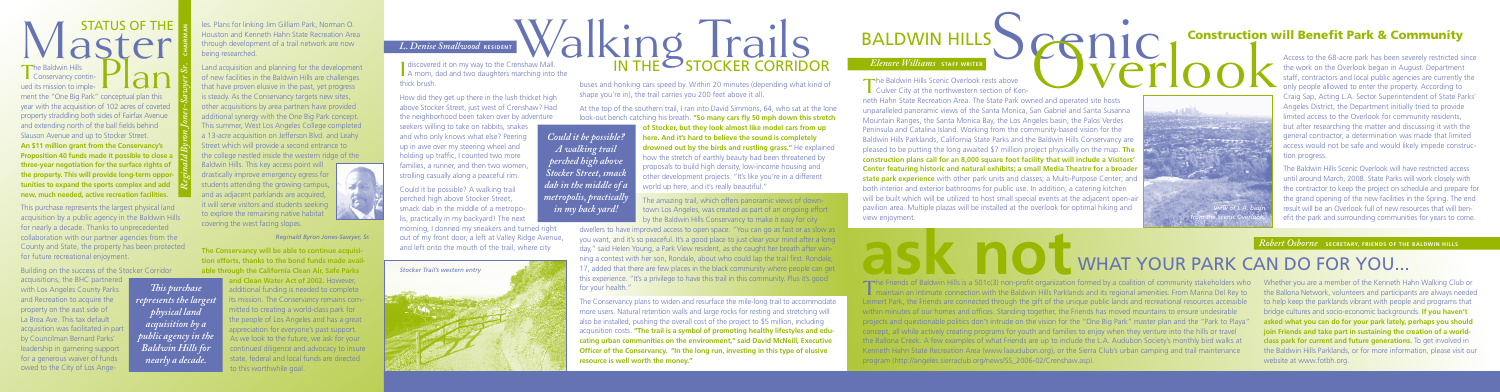# Master The

The Baldwin Hills<br>
Conservancy continued its mission to imple-The Baldwin Hills<br>
Lonservancy contin-<br>
ment the "One Big Park" conceptual plan this year with the acquisition of 102 acres of coveted property straddling both sides of Fairfax Avenue and extending north of the ball fields behind Slauson Avenue and up to Stocker Street. **An \$11 million grant from the Conservancy's Proposition 40 funds made it possible to close a three-year negotiation for the surface rights of the property. This will provide long-term opportunities to expand the sports complex and add new, much needed, active recreation facilities.** 

acquisitions, the BHC partnered with Los Angeles County Parks and Recreation to acquire the property on the east side of La Brea Ave. This tax default acquisition was facilitated in part by Councilman Bernard Parks' leadership in garnering support for a generous waiver of funds owed to the City of Los Ange-

This purchase represents the largest physical land acquisition by a public agency in the Baldwin Hills for nearly a decade. Thanks to unprecedented collaboration with our partner agencies from the County and State, the property has been protected for future recreational enjoyment.

Building on the success of the Stocker Corridor

les. Plans for linking Jim Gilliam Park, Norman O. Houston and Kenneth Hahn State Recreation Area through development of a trail network are now being researched.

neth Hahn State Recreation Area. The State Park owned and operated site hosts unparalleled panoramic views of the Santa Monica, San Gabriel and Santa Susanna Mountain Ranges, the Santa Monica Bay, the Los Angeles basin, the Palos Verdes Peninsula and Catalina Island. Working from the community-based vision for the Baldwin Hills Parklands, California State Parks and the Baldwin Hills Conservancy are pleased to be putting the long awaited \$7 million project physically on the map. **The construction plans call for an 8,000 square foot facility that will include a Visitors' Center featuring historic and natural exhibits; a small Media Theatre for a broader state park experience** with other park units and classes; a Multi-Purpose Center; and both interior and exterior bathrooms for public use. In addition, a catering kitchen will be built which will be utilized to host small special events at the adjacent open-air pavilion area. Multiple plazas will be installed at the overlook for optimal hiking and view enjoyment. **Construction Williams STAFF WRITER**<br>
The Baldwin Hills Scenic Overlook rests above<br>
The Baldwin Hills Scenic Overlook rests above<br>
The Baldwin Hills Scenic Overlook rests above<br>
The Baldwin Hills Scenic Overlook rests abo

Land acquisition and planning for the development of new facilities in the Baldwin Hills are challenges that have proven elusive in the past, yet progress is steady. As the Conservancy targets new sites, other acquisitions by area partners have provided additional synergy with the One Big Park concept. This summer, West Los Angeles College completed a 13-acre acquisition on Jefferson Blvd. and Leahy Street which will provide a second entrance to the college nestled inside the western ridge of the

Baldwin Hills. This key access point will drastically improve emergency egress for students attending the growing campus, and as adjacent parklands are acquired. it will serve visitors and students seeking to explore the remaining native habitat covering the west facing slopes.

I discovered it on my way to the Crenshaw Mall.<br>A mom, dad and two daughters marching into<br>thick brush A mom, dad and two daughters marching into the thick brush.

**The Conservancy will be able to continue acquisition efforts, thanks to the bond funds made available through the California Clean Air, Safe Parks and Clean Water Act of 2002.** However, additional funding is needed to complete ts mission. The Conservancy remains committed to creating a world-class park for the people of Los Angeles and has a great appreciation for everyone's past support. As we look to the future, we ask for your continued diligence and advocacy to insure state, federal and local funds are directed to this worthwhile goal.

*Reginald Byron Jones-Sawyer Sr.*

 **CHAIRMAN**

*This purchase represents the largest physical land acquisition by a public agency in the Baldwin Hills for nearly a decade.* 

## **ask not** WHAT YOUR PARK CAN DO FOR YOU...

The Friends of Baldwin Hills is a 501c(3) non-profit organization formed by a coalition of community stakeholders who<br>maintain an intimate connection with the Baldwin Hills Parklands and its regional amenities. From Marina Leimert Park, the Friends are connected through the gift of the unique public lands and recreational resources accessible within minutes of our homes and offices. Standing together, the Friends has moved mountains to ensure undesirable projects and questionable politics don't intrude on the vision for the "One Big Park" master plan and the "Park to Playa" concept, all while actively creating programs for youth and families to enjoy when they venture into the hills or travel the Ballona Creek. A few examples of what Friends are up to include the L.A. Audubon Society's monthly bird walks at Kenneth Hahn State Recreation Area [\(www.laaudubon.org](http://www.laaudubon.org)), or the Sierra Club's urban camping and trail maintenance program [\(http://angeles.sierraclub.org/news/SS\\_2006-02/Crenshaw.asp\).](http://angeles.sierraclub.org/news/SS_2006-02/Crenshaw.asp) The Friends of Baldwin Hills is a 501c(3) non-profit organization formed by a coalition of community stakeholders who Whether you are a member of the Kenneth Hahn Walking Club or

How did they get up there in the lush thicket high above Stocker Street, just west of Crenshaw? Had the neighborhood been taken over by adventure

seekers willing to take on rabbits, snakes and who only knows what else? Peering up in awe over my steering wheel and holding up traffic, I counted two more families, a runner, and then two women strolling casually along a peaceful rim.

Could it be possible? A walking trail perched high above Stocker Street, smack dab in the middle of a metropolis, practically in my backyard! The next morning, I donned my sneakers and turned right out of my front door, a left at Valley Ridge Avenue, the work on the Overlook began in August. Department staff, contractors and local public agencies are currently the only people allowed to enter the property. According to Craig Sap, Acting L.A. Sector Superintendent of State Parks' Angeles District, the Department initially tried to provide limited access to the Overlook for community residents, but after researching the matter and discussing it with the general contractor, a determination was made that limited access would not be safe and would likely impede construction progress.

The Baldwin Hills Scenic Overlook will have restricted access until around March, 2008. State Parks will work closely with the contractor to keep the project on schedule and prepare for the grand opening of the new facilities in the Spring. The end result will be an Overlook full of new resources that will benefit the park and surrounding communities for years to come.

**Robert Osborne SECRETARY, FRIENDS OF THE BALDWIN HILLS** 

buses and honking cars speed by. Within 20 minutes (depending what kind of shape you're in), the trail carries you 200 feet above it all.

At the top of the southern trail, I ran into David Simmons, 64, who sat at the lone look-out bench catching his breath. **"So many cars fly 50 mph down this stretch** 

**of Stocker, but they look almost like model cars from up here. And it's hard to believe the sound is completely drowned out by the birds and rustling grass."** He explained

how the stretch of earthly beauty had been threatened by proposals to build high density, low-income housing and other development projects. "It's like you're in a different world up here, and it's really beautiful."

The amazing trail, which offers panoramic views of downtown Los Angeles, was created as part of an ongoing effort by the Baldwin Hills Conservancy to make it easy for city

dwellers to have improved access to open space. "You can go as fast or as slow as you want, and it's so peaceful. It's a good place to just clear your mind after a long day," said Helen Young, a Park View resident, as she caught her breath after winning a contest with her son, Rondale, about who could lap the trail first. Rondale, 17, added that there are few places in the black community where people can get this experience. "It's a privilege to have this trail in this community. Plus it's good for your health."



# *L. Denise Smallwood* RESIDENT **WALKING STOCKER CORRIDOR** *L. Denise Smallwood* **RESIDENT**<br> **Access to the GRessive West Resident Park & Community**<br> **Access to the 68-acre park has been severely restricted since <b>***REMORTANGER CORRIDOR Elemore Williams* start where **CONSTRANG**

The Conservancy plans to widen and resurface the mile-long trail to accommodate more users. Natural retention walls and large rocks for resting and stretching will also be installed, pushing the overall cost of the project to \$5 million, including acquisition costs. **"The trail is a symbol of promoting healthy lifestyles and educating urban communities on the environment," said David McNeill, Executive Officer of the Conservancy. "In the long run, investing in this type of elusive resource is well worth the money."**



The Baldwin Hills Scenic Overlook rests above  $\Box$  Culver City at the northwestern section of Ken-

*Could it be possible? A walking trail perched high above Stocker Street, smack dab in the middle of a metropolis, practically in my back yard!*

> the Ballona Network, volunteers and participants are always needed to help keep the parklands vibrant with people and programs that bridge cultures and socio-economic backgrounds. **If you haven't asked what you can do for your park lately, perhaps you should join Friends and take part in sustaining the creation of a worldclass park for current and future generations.** To get involved in the Baldwin Hills Parklands, or for more information, please visit our website at [www.fotbh.org.](http://www.fotbh.org.)



*Reginald Byron Jones-Sawyer, Sr.*